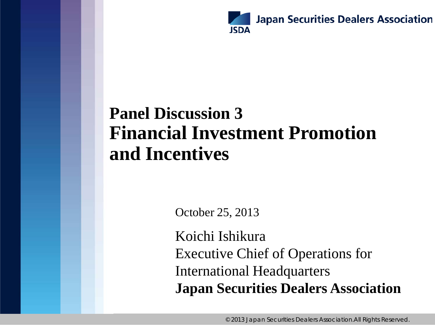

## **Panel Discussion 3 Financial Investment Promotion and Incentives**

October 25, 2013

Koichi Ishikura Executive Chief of Operations for International Headquarters **Japan Securities Dealers Association**

© 2013 Japan Securities Dealers Association.All Rights Reserved.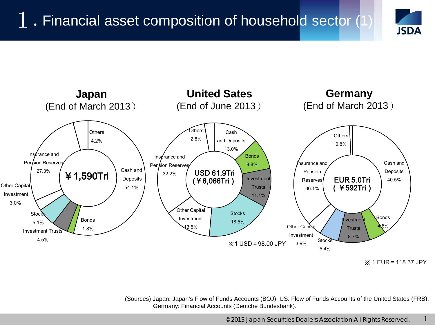



<sup>※</sup> 1 EUR=118.37 JPY

1

(Sources) Japan: Japan's Flow of Funds Accounts (BOJ), US: Flow of Funds Accounts of the United States (FRB), Germany: Financial Accounts (Deutche Bundesbank).

© 2013 Japan Securities Dealers Association.All Rights Reserved.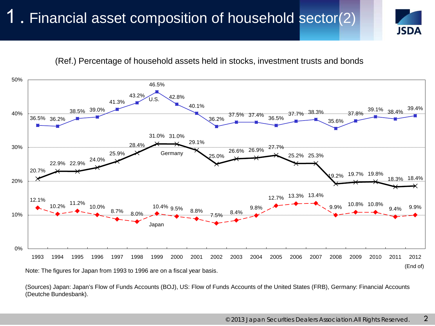#### 1. Financial asset composition of household sector(2)



(Ref.) Percentage of household assets held in stocks, investment trusts and bonds



(Sources) Japan: Japan's Flow of Funds Accounts (BOJ), US: Flow of Funds Accounts of the United States (FRB), Germany: Financial Accounts (Deutche Bundesbank).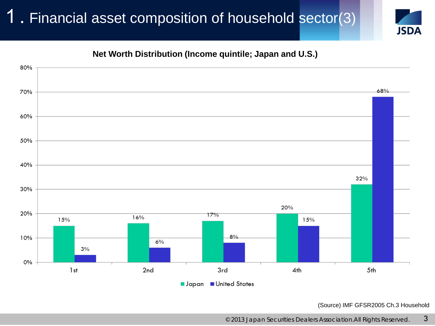#### 1. Financial asset composition of household sector(3)



#### **Net Worth Distribution (Income quintile; Japan and U.S.)**



(Source) IMF GFSR2005 Ch.3 Household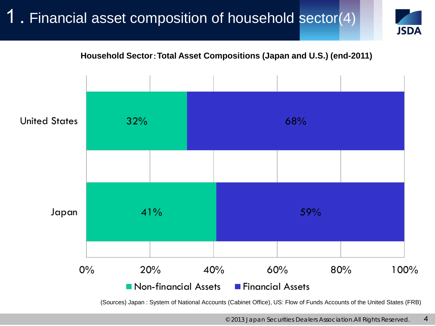#### 1. Financial asset composition of household sector(4)





(Sources) Japan : System of National Accounts (Cabinet Office), US: Flow of Funds Accounts of the United States (FRB)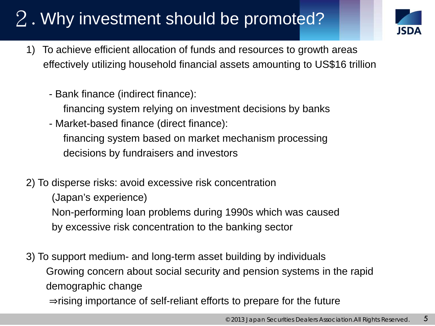# 2. Why investment should be promoted?



- 1) To achieve efficient allocation of funds and resources to growth areas effectively utilizing household financial assets amounting to US\$16 trillion
	- Bank finance (indirect finance):
		- financing system relying on investment decisions by banks
	- Market-based finance (direct finance): financing system based on market mechanism processing
		- decisions by fundraisers and investors
- 2) To disperse risks: avoid excessive risk concentration
	- (Japan's experience)
	- Non-performing loan problems during 1990s which was caused
	- by excessive risk concentration to the banking sector
- 3) To support medium- and long-term asset building by individuals Growing concern about social security and pension systems in the rapid demographic change ⇒rising importance of self-reliant efforts to prepare for the future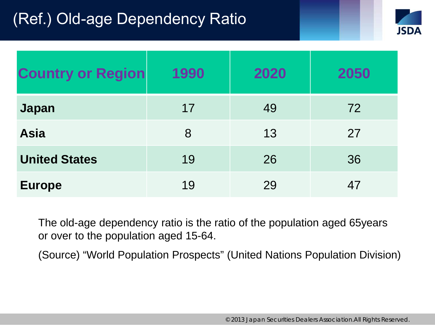### (Ref.) Old-age Dependency Ratio



| <b>Country or Region</b> | 1990 | 2020 | 2050 |
|--------------------------|------|------|------|
| <b>Japan</b>             | 17   | 49   | 72   |
| <b>Asia</b>              | 8    | 13   | 27   |
| <b>United States</b>     | 19   | 26   | 36   |
| <b>Europe</b>            | 19   | 29   | 47   |

The old-age dependency ratio is the ratio of the population aged 65years or over to the population aged 15-64.

(Source) "World Population Prospects" (United Nations Population Division)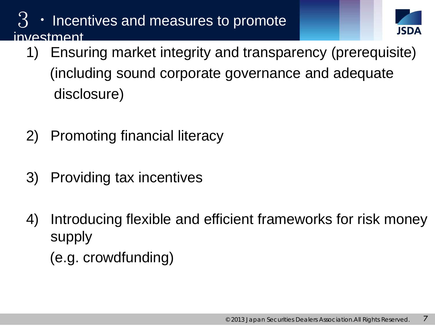#### $\mathcal{B}$   $\cdot$  Incentives and measures to promote investment



- 1) Ensuring market integrity and transparency (prerequisite) (including sound corporate governance and adequate disclosure)
- 2) Promoting financial literacy
- 3) Providing tax incentives
- 4) Introducing flexible and efficient frameworks for risk money supply (e.g. crowdfunding)